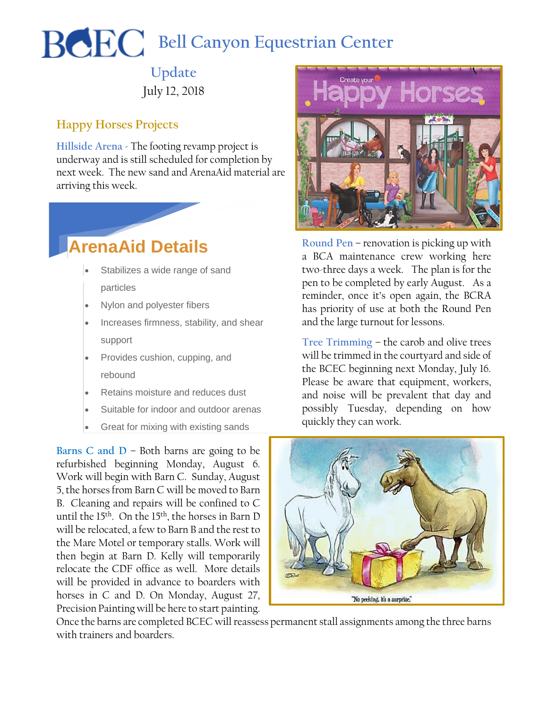## **BCEC** Bell Canyon Equestrian Center

**Update** July 12, 2018

## **Happy Horses Projects**

**Hillside Arena** - The footing revamp project is underway and is still scheduled for completion by next week. The new sand and ArenaAid material are arriving this week.

## **ArenaAid Details**

- Stabilizes a wide range of sand particles
- Nylon and polyester fibers
- Increases firmness, stability, and shear support
- Provides cushion, cupping, and rebound
- Retains moisture and reduces dust
- Suitable for indoor and outdoor arenas
- Great for mixing with existing sands

**Barns C and D** – Both barns are going to be refurbished beginning Monday, August 6. Work will begin with Barn C. Sunday, August 5, the horses from Barn C will be moved to Barn B. Cleaning and repairs will be confined to C until the 15th. On the 15th, the horses in Barn D will be relocated, a few to Barn B and the rest to the Mare Motel or temporary stalls. Work will then begin at Barn D. Kelly will temporarily relocate the CDF office as well. More details will be provided in advance to boarders with horses in C and D. On Monday, August 27, Precision Painting will be here to start painting.



**Round Pen** – renovation is picking up with a BCA maintenance crew working here two-three days a week. The plan is for the pen to be completed by early August. As a reminder, once it's open again, the BCRA has priority of use at both the Round Pen and the large turnout for lessons.

**Tree Trimming** – the carob and olive trees will be trimmed in the courtyard and side of the BCEC beginning next Monday, July 16. Please be aware that equipment, workers, and noise will be prevalent that day and possibly Tuesday, depending on how quickly they can work.



Once the barns are completed BCEC will reassess permanent stall assignments among the three barns with trainers and boarders.